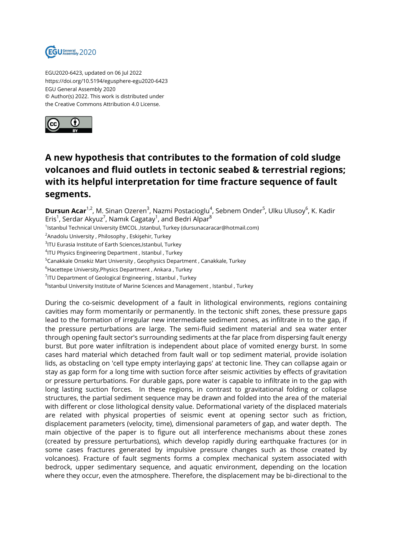

EGU2020-6423, updated on 06 Jul 2022 https://doi.org/10.5194/egusphere-egu2020-6423 EGU General Assembly 2020 © Author(s) 2022. This work is distributed under the Creative Commons Attribution 4.0 License.



## **A new hypothesis that contributes to the formation of cold sludge volcanoes and fluid outlets in tectonic seabed & terrestrial regions; with its helpful interpretation for time fracture sequence of fault segments.**

**Dursun Acar**<sup>1,2</sup>, M. Sinan Ozeren<sup>3</sup>, Nazmi Postacioglu<sup>4</sup>, Sebnem Onder<sup>5</sup>, Ulku Ulusoy<sup>6</sup>, K. Kadir Eris $^1$ , Serdar Akyuz $^7$ , Namık Cagatay $^1$ , and Bedri Alpar $^8$ <sup>1</sup>lstanbul Technical University EMCOL ,Istanbul, Turkey (dursunacaracar@hotmail.com) <sup>2</sup> Anadolu University, Philosophy, Eskişehir, Turkey  $^3$ ITU Eurasia Institute of Earth Sciences,Istanbul, Turkey 4 ITU Physics Engineering Department , Istanbul , Turkey <sup>5</sup>Canakkale Onsekiz Mart University , Geophysics Department , Canakkale, Turkey <sup>6</sup>Hacettepe University, Physics Department, Ankara, Turkey  $^{7}$ ITU Department of Geological Engineering , Istanbul , Turkey  $^8$ Istanbul University Institute of Marine Sciences and Management , Istanbul , Turkey During the co-seismic development of a fault in lithological environments, regions containing

cavities may form momentarily or permanently. In the tectonic shift zones, these pressure gaps lead to the formation of irregular new intermediate sediment zones, as infiltrate in to the gap, if the pressure perturbations are large. The semi-fluid sediment material and sea water enter through opening fault sector's surrounding sediments at the far place from dispersing fault energy burst. But pore water infiltration is independent about place of vomited energy burst. In some cases hard material which detached from fault wall or top sediment material, provide isolation lids, as obstacling on 'cell type empty interlaying gaps' at tectonic line. They can collapse again or stay as gap form for a long time with suction force after seismic activities by effects of gravitation or pressure perturbations. For durable gaps, pore water is capable to infiltrate in to the gap with long lasting suction forces. In these regions, in contrast to gravitational folding or collapse structures, the partial sediment sequence may be drawn and folded into the area of the material with different or close lithological density value. Deformational variety of the displaced materials are related with physical properties of seismic event at opening sector such as friction, displacement parameters (velocity, time), dimensional parameters of gap, and water depth. The main objective of the paper is to figure out all interference mechanisms about these zones (created by pressure perturbations), which develop rapidly during earthquake fractures (or in some cases fractures generated by impulsive pressure changes such as those created by volcanoes). Fracture of fault segments forms a complex mechanical system associated with bedrock, upper sedimentary sequence, and aquatic environment, depending on the location where they occur, even the atmosphere. Therefore, the displacement may be bi-directional to the